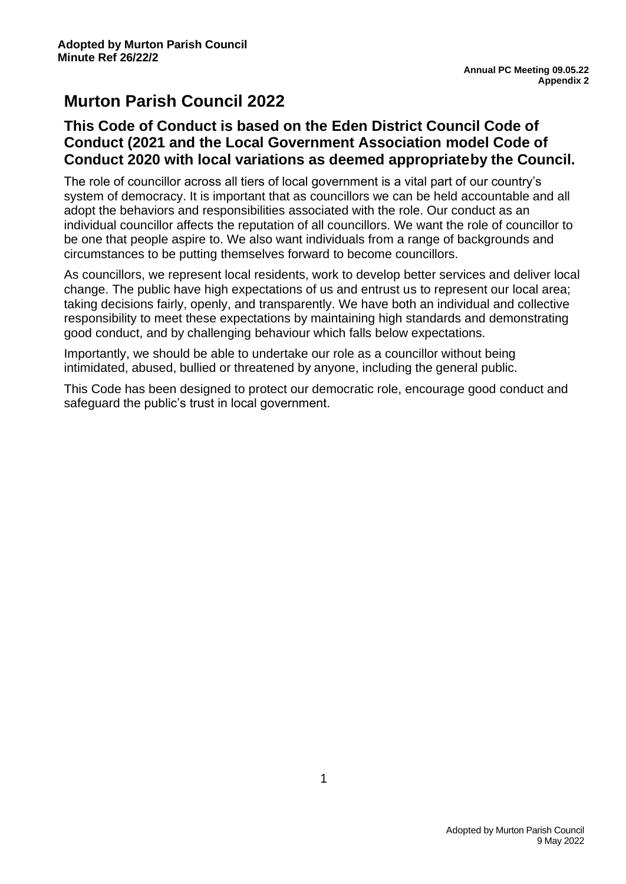# **Murton Parish Council 2022**

# **This Code of Conduct is based on the Eden District Council Code of Conduct (2021 and the Local Government Association model Code of Conduct 2020 with local variations as deemed appropriate by the Council.**

The role of councillor across all tiers of local government is a vital part of our country's system of democracy. It is important that as councillors we can be held accountable and all adopt the behaviors and responsibilities associated with the role. Our conduct as an individual councillor affects the reputation of all councillors. We want the role of councillor to be one that people aspire to. We also want individuals from a range of backgrounds and circumstances to be putting themselves forward to become councillors.

As councillors, we represent local residents, work to develop better services and deliver local change. The public have high expectations of us and entrust us to represent our local area; taking decisions fairly, openly, and transparently. We have both an individual and collective responsibility to meet these expectations by maintaining high standards and demonstrating good conduct, and by challenging behaviour which falls below expectations.

Importantly, we should be able to undertake our role as a councillor without being intimidated, abused, bullied or threatened by anyone, including the general public.

This Code has been designed to protect our democratic role, encourage good conduct and safeguard the public's trust in local government.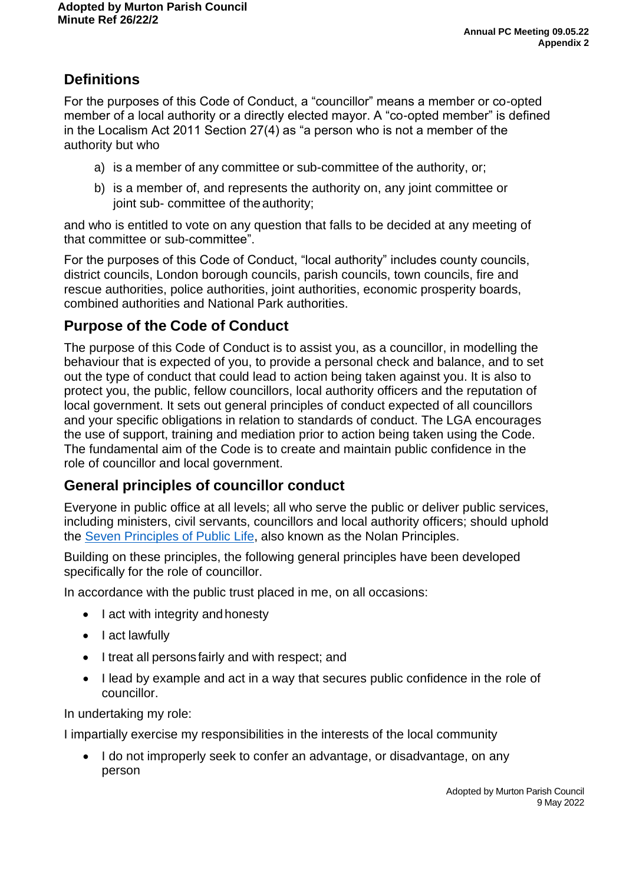# **Definitions**

For the purposes of this Code of Conduct, a "councillor" means a member or co-opted member of a local authority or a directly elected mayor. A "co-opted member" is defined in the Localism Act 2011 Section 27(4) as "a person who is not a member of the authority but who

- a) is a member of any committee or sub-committee of the authority, or;
- b) is a member of, and represents the authority on, any joint committee or joint sub- committee of the authority;

and who is entitled to vote on any question that falls to be decided at any meeting of that committee or sub-committee".

For the purposes of this Code of Conduct, "local authority" includes county councils, district councils, London borough councils, parish councils, town councils, fire and rescue authorities, police authorities, joint authorities, economic prosperity boards, combined authorities and National Park authorities.

# **Purpose of the Code of Conduct**

The purpose of this Code of Conduct is to assist you, as a councillor, in modelling the behaviour that is expected of you, to provide a personal check and balance, and to set out the type of conduct that could lead to action being taken against you. It is also to protect you, the public, fellow councillors, local authority officers and the reputation of local government. It sets out general principles of conduct expected of all councillors and your specific obligations in relation to standards of conduct. The LGA encourages the use of support, training and mediation prior to action being taken using the Code. The fundamental aim of the Code is to create and maintain public confidence in the role of councillor and local government.

# **General principles of councillor conduct**

Everyone in public office at all levels; all who serve the public or deliver public services, including ministers, civil servants, councillors and local authority officers; should uphold the Seven [Principles](https://www.gov.uk/government/publications/the-7-principles-of-public-life/the-7-principles-of-public-life--2) of Public Life, also known as the Nolan Principles.

Building on these principles, the following general principles have been developed specifically for the role of councillor.

In accordance with the public trust placed in me, on all occasions:

- I act with integrity and honesty
- I act lawfully
- I treat all persons fairly and with respect; and
- I lead by example and act in a way that secures public confidence in the role of councillor.

In undertaking my role:

I impartially exercise my responsibilities in the interests of the local community

• I do not improperly seek to confer an advantage, or disadvantage, on any person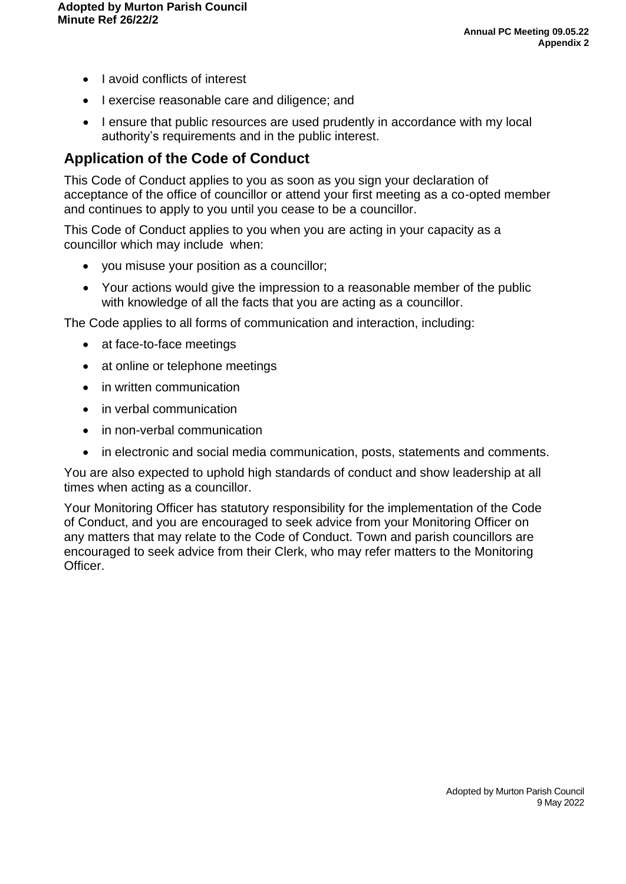- Lavoid conflicts of interest
- I exercise reasonable care and diligence; and
- I ensure that public resources are used prudently in accordance with my local authority's requirements and in the public interest.

# **Application of the Code of Conduct**

This Code of Conduct applies to you as soon as you sign your declaration of acceptance of the office of councillor or attend your first meeting as a co-opted member and continues to apply to you until you cease to be a councillor.

This Code of Conduct applies to you when you are acting in your capacity as a councillor which may include when:

- you misuse your position as a councillor;
- Your actions would give the impression to a reasonable member of the public with knowledge of all the facts that you are acting as a councillor.

The Code applies to all forms of communication and interaction, including:

- at face-to-face meetings
- at online or telephone meetings
- in written communication
- in verbal communication
- in non-verbal communication
- in electronic and social media communication, posts, statements and comments.

You are also expected to uphold high standards of conduct and show leadership at all times when acting as a councillor.

Your Monitoring Officer has statutory responsibility for the implementation of the Code of Conduct, and you are encouraged to seek advice from your Monitoring Officer on any matters that may relate to the Code of Conduct. Town and parish councillors are encouraged to seek advice from their Clerk, who may refer matters to the Monitoring Officer.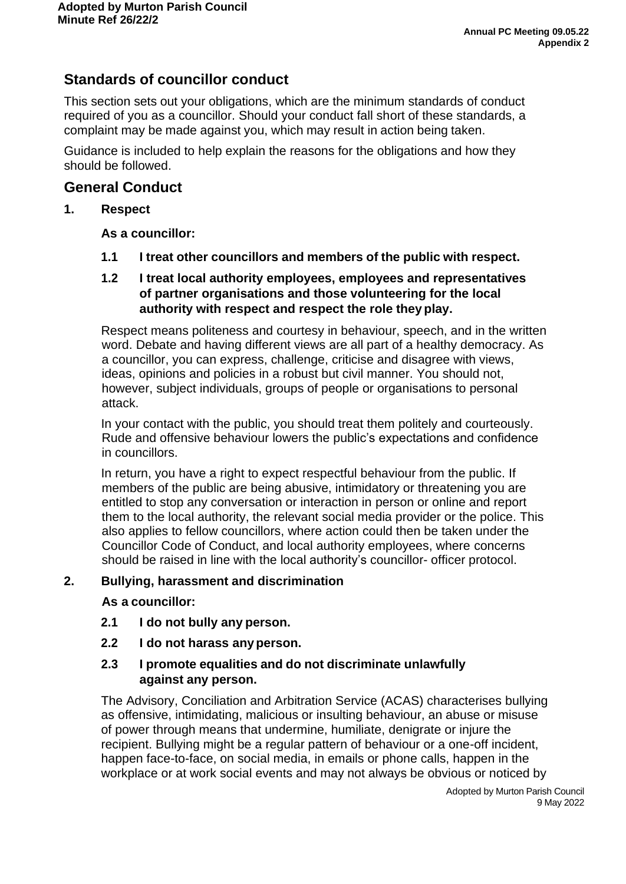# **Standards of councillor conduct**

This section sets out your obligations, which are the minimum standards of conduct required of you as a councillor. Should your conduct fall short of these standards, a complaint may be made against you, which may result in action being taken.

Guidance is included to help explain the reasons for the obligations and how they should be followed.

## **General Conduct**

### **1. Respect**

#### **As a councillor:**

**1.1 I treat other councillors and members of the public with respect.**

#### **1.2 I treat local authority employees, employees and representatives of partner organisations and those volunteering for the local authority with respect and respect the role they play.**

Respect means politeness and courtesy in behaviour, speech, and in the written word. Debate and having different views are all part of a healthy democracy. As a councillor, you can express, challenge, criticise and disagree with views, ideas, opinions and policies in a robust but civil manner. You should not, however, subject individuals, groups of people or organisations to personal attack.

In your contact with the public, you should treat them politely and courteously. Rude and offensive behaviour lowers the public's expectations and confidence in councillors.

In return, you have a right to expect respectful behaviour from the public. If members of the public are being abusive, intimidatory or threatening you are entitled to stop any conversation or interaction in person or online and report them to the local authority, the relevant social media provider or the police. This also applies to fellow councillors, where action could then be taken under the Councillor Code of Conduct, and local authority employees, where concerns should be raised in line with the local authority's councillor- officer protocol.

#### **2. Bullying, harassment and discrimination**

#### **As a councillor:**

- **2.1 I do not bully any person.**
- **2.2 I do not harass anyperson.**

### **2.3 I promote equalities and do not discriminate unlawfully against any person.**

The Advisory, Conciliation and Arbitration Service (ACAS) characterises bullying as offensive, intimidating, malicious or insulting behaviour, an abuse or misuse of power through means that undermine, humiliate, denigrate or injure the recipient. Bullying might be a regular pattern of behaviour or a one-off incident, happen face-to-face, on social media, in emails or phone calls, happen in the workplace or at work social events and may not always be obvious or noticed by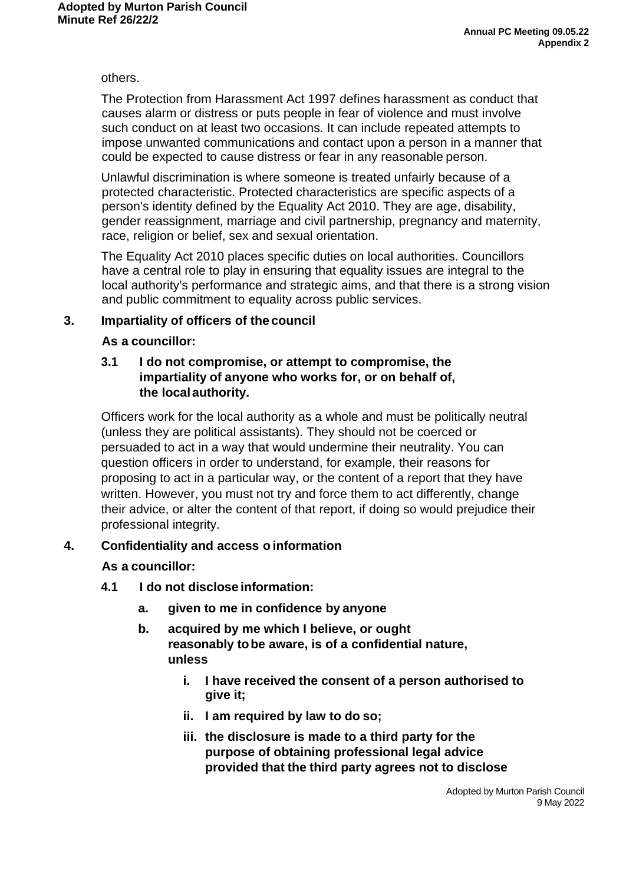#### others.

The Protection from Harassment Act 1997 defines harassment as conduct that causes alarm or distress or puts people in fear of violence and must involve such conduct on at least two occasions. It can include repeated attempts to impose unwanted communications and contact upon a person in a manner that could be expected to cause distress or fear in any reasonable person.

Unlawful discrimination is where someone is treated unfairly because of a protected characteristic. Protected characteristics are specific aspects of a person's identity defined by the Equality Act 2010. They are age, disability, gender reassignment, marriage and civil partnership, pregnancy and maternity, race, religion or belief, sex and sexual orientation.

The Equality Act 2010 places specific duties on local authorities. Councillors have a central role to play in ensuring that equality issues are integral to the local authority's performance and strategic aims, and that there is a strong vision and public commitment to equality across public services.

## **3. Impartiality of officers of the council**

#### **As a councillor:**

### **3.1 I do not compromise, or attempt to compromise, the impartiality of anyone who works for, or on behalf of, the localauthority.**

Officers work for the local authority as a whole and must be politically neutral (unless they are political assistants). They should not be coerced or persuaded to act in a way that would undermine their neutrality. You can question officers in order to understand, for example, their reasons for proposing to act in a particular way, or the content of a report that they have written. However, you must not try and force them to act differently, change their advice, or alter the content of that report, if doing so would prejudice their professional integrity.

## **4. Confidentiality and access o information**

## **As a councillor:**

- **4.1 I do not disclose information:**
	- **a. given to me in confidence by anyone**
	- **b. acquired by me which I believe, or ought reasonably tobe aware, is of a confidential nature, unless**
		- **i. I have received the consent of a person authorised to give it;**
		- **ii. I am required by law to do so;**
		- **iii. the disclosure is made to a third party for the purpose of obtaining professional legal advice provided that the third party agrees not to disclose**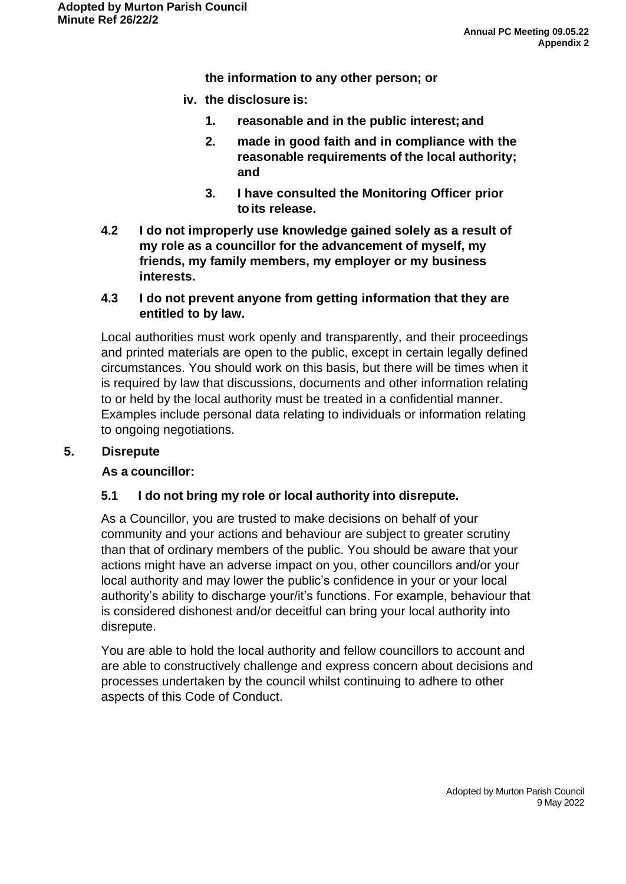**the information to any other person; or**

- **iv. the disclosure is:**
	- **1. reasonable and in the public interest; and**
	- **2. made in good faith and in compliance with the reasonable requirements of the local authority; and**
	- **3. I have consulted the Monitoring Officer prior toits release.**
- **4.2 I do not improperly use knowledge gained solely as a result of my role as a councillor for the advancement of myself, my friends, my family members, my employer or my business interests.**

### **4.3 I do not prevent anyone from getting information that they are entitled to by law.**

Local authorities must work openly and transparently, and their proceedings and printed materials are open to the public, except in certain legally defined circumstances. You should work on this basis, but there will be times when it is required by law that discussions, documents and other information relating to or held by the local authority must be treated in a confidential manner. Examples include personal data relating to individuals or information relating to ongoing negotiations.

## **5. Disrepute**

#### **As a councillor:**

## **5.1 I do not bring my role or local authority into disrepute.**

As a Councillor, you are trusted to make decisions on behalf of your community and your actions and behaviour are subject to greater scrutiny than that of ordinary members of the public. You should be aware that your actions might have an adverse impact on you, other councillors and/or your local authority and may lower the public's confidence in your or your local authority's ability to discharge your/it's functions. For example, behaviour that is considered dishonest and/or deceitful can bring your local authority into disrepute.

You are able to hold the local authority and fellow councillors to account and are able to constructively challenge and express concern about decisions and processes undertaken by the council whilst continuing to adhere to other aspects of this Code of Conduct.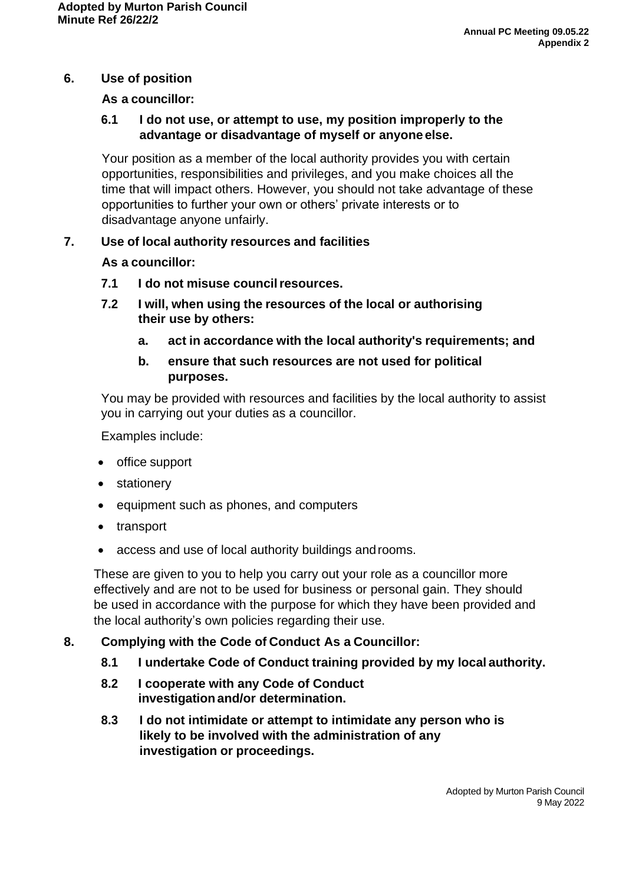### **6. Use of position**

#### **As a councillor:**

#### **6.1 I do not use, or attempt to use, my position improperly to the advantage or disadvantage of myself or anyone else.**

Your position as a member of the local authority provides you with certain opportunities, responsibilities and privileges, and you make choices all the time that will impact others. However, you should not take advantage of these opportunities to further your own or others' private interests or to disadvantage anyone unfairly.

#### **7. Use of local authority resources and facilities**

#### **As a councillor:**

- **7.1 I do not misuse councilresources.**
- **7.2 I will, when using the resources of the local or authorising their use by others:**
	- **a. act in accordance with the local authority's requirements; and**
	- **b. ensure that such resources are not used for political purposes.**

You may be provided with resources and facilities by the local authority to assist you in carrying out your duties as a councillor.

Examples include:

- office support
- stationery
- equipment such as phones, and computers
- transport
- access and use of local authority buildings androoms.

These are given to you to help you carry out your role as a councillor more effectively and are not to be used for business or personal gain. They should be used in accordance with the purpose for which they have been provided and the local authority's own policies regarding their use.

#### **8. Complying with the Code of Conduct As a Councillor:**

- **8.1 I undertake Code of Conduct training provided by my local authority.**
- **8.2 I cooperate with any Code of Conduct investigation and/or determination.**
- **8.3 I do not intimidate or attempt to intimidate any person who is likely to be involved with the administration of any investigation or proceedings.**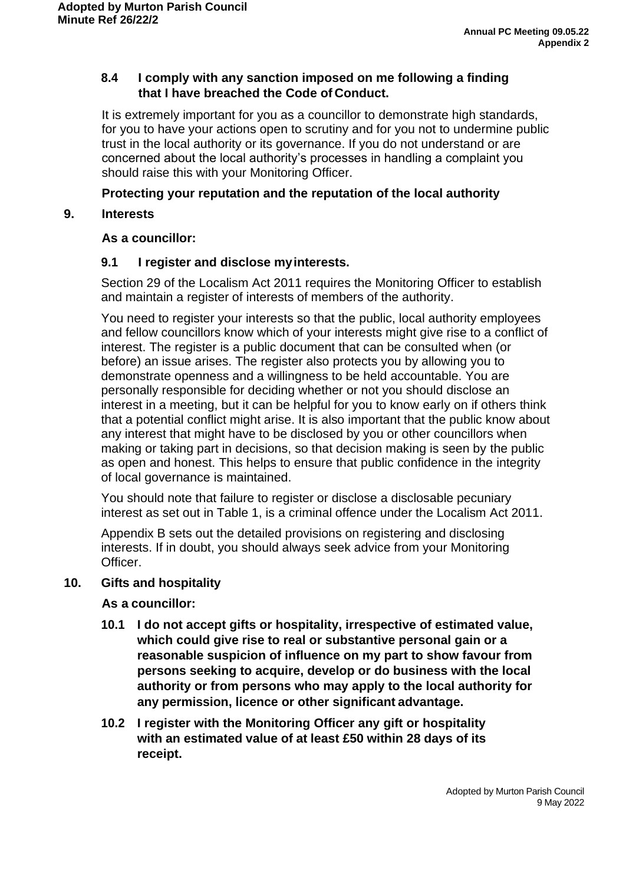### **8.4 I comply with any sanction imposed on me following a finding that I have breached the Code of Conduct.**

It is extremely important for you as a councillor to demonstrate high standards, for you to have your actions open to scrutiny and for you not to undermine public trust in the local authority or its governance. If you do not understand or are concerned about the local authority's processes in handling a complaint you should raise this with your Monitoring Officer.

## **Protecting your reputation and the reputation of the local authority**

## **9. Interests**

### **As a councillor:**

## **9.1 I register and disclose myinterests.**

Section 29 of the Localism Act 2011 requires the Monitoring Officer to establish and maintain a register of interests of members of the authority.

You need to register your interests so that the public, local authority employees and fellow councillors know which of your interests might give rise to a conflict of interest. The register is a public document that can be consulted when (or before) an issue arises. The register also protects you by allowing you to demonstrate openness and a willingness to be held accountable. You are personally responsible for deciding whether or not you should disclose an interest in a meeting, but it can be helpful for you to know early on if others think that a potential conflict might arise. It is also important that the public know about any interest that might have to be disclosed by you or other councillors when making or taking part in decisions, so that decision making is seen by the public as open and honest. This helps to ensure that public confidence in the integrity of local governance is maintained.

You should note that failure to register or disclose a disclosable pecuniary interest as set out in Table 1, is a criminal offence under the Localism Act 2011.

Appendix B sets out the detailed provisions on registering and disclosing interests. If in doubt, you should always seek advice from your Monitoring Officer.

#### **10. Gifts and hospitality**

#### **As a councillor:**

- **10.1 I do not accept gifts or hospitality, irrespective of estimated value, which could give rise to real or substantive personal gain or a reasonable suspicion of influence on my part to show favour from persons seeking to acquire, develop or do business with the local authority or from persons who may apply to the local authority for any permission, licence or other significant advantage.**
- **10.2 I register with the Monitoring Officer any gift or hospitality with an estimated value of at least £50 within 28 days of its receipt.**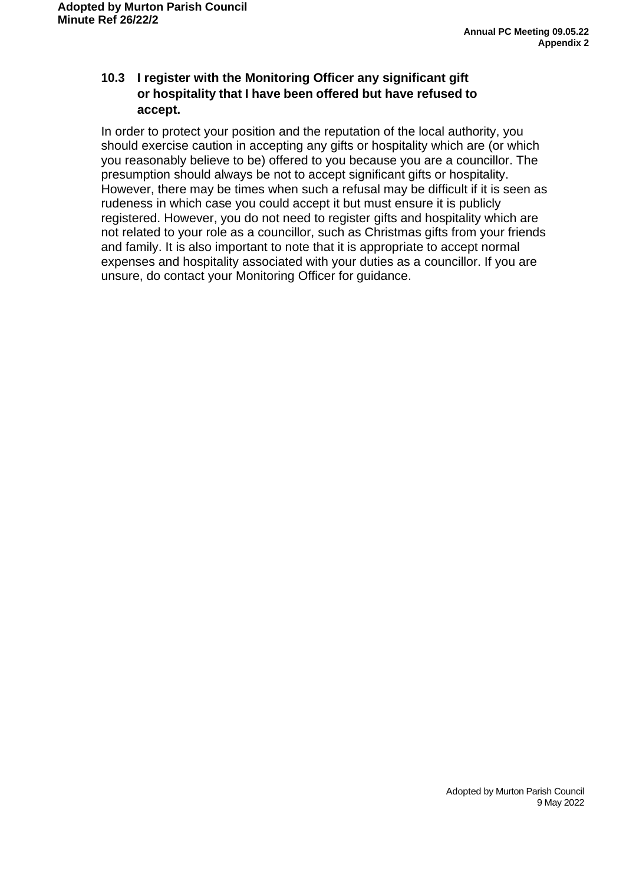### **10.3 I register with the Monitoring Officer any significant gift or hospitality that I have been offered but have refused to accept.**

In order to protect your position and the reputation of the local authority, you should exercise caution in accepting any gifts or hospitality which are (or which you reasonably believe to be) offered to you because you are a councillor. The presumption should always be not to accept significant gifts or hospitality. However, there may be times when such a refusal may be difficult if it is seen as rudeness in which case you could accept it but must ensure it is publicly registered. However, you do not need to register gifts and hospitality which are not related to your role as a councillor, such as Christmas gifts from your friends and family. It is also important to note that it is appropriate to accept normal expenses and hospitality associated with your duties as a councillor. If you are unsure, do contact your Monitoring Officer for guidance.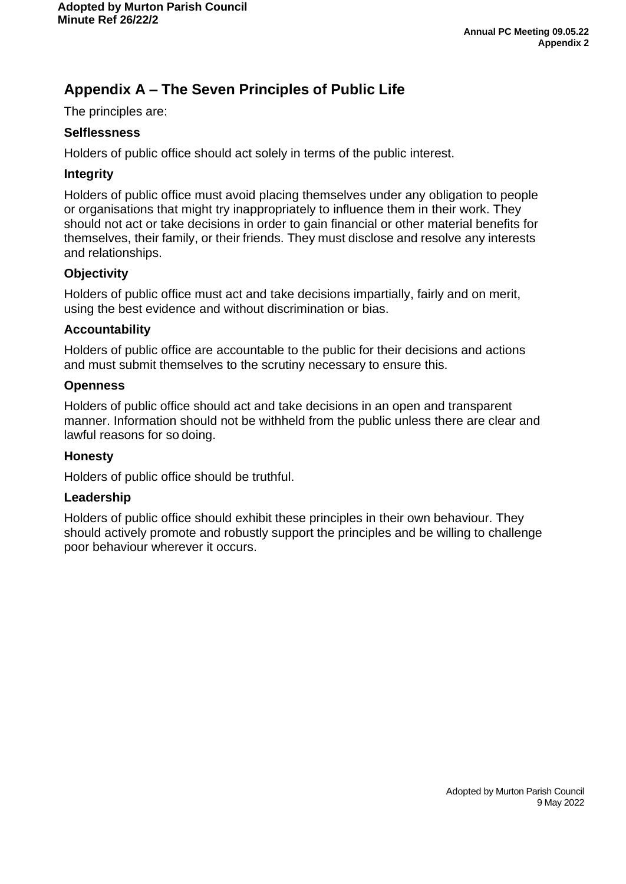# **Appendix A – The Seven Principles of Public Life**

The principles are:

#### **Selflessness**

Holders of public office should act solely in terms of the public interest.

#### **Integrity**

Holders of public office must avoid placing themselves under any obligation to people or organisations that might try inappropriately to influence them in their work. They should not act or take decisions in order to gain financial or other material benefits for themselves, their family, or their friends. They must disclose and resolve any interests and relationships.

### **Objectivity**

Holders of public office must act and take decisions impartially, fairly and on merit, using the best evidence and without discrimination or bias.

#### **Accountability**

Holders of public office are accountable to the public for their decisions and actions and must submit themselves to the scrutiny necessary to ensure this.

#### **Openness**

Holders of public office should act and take decisions in an open and transparent manner. Information should not be withheld from the public unless there are clear and lawful reasons for so doing.

#### **Honesty**

Holders of public office should be truthful.

#### **Leadership**

Holders of public office should exhibit these principles in their own behaviour. They should actively promote and robustly support the principles and be willing to challenge poor behaviour wherever it occurs.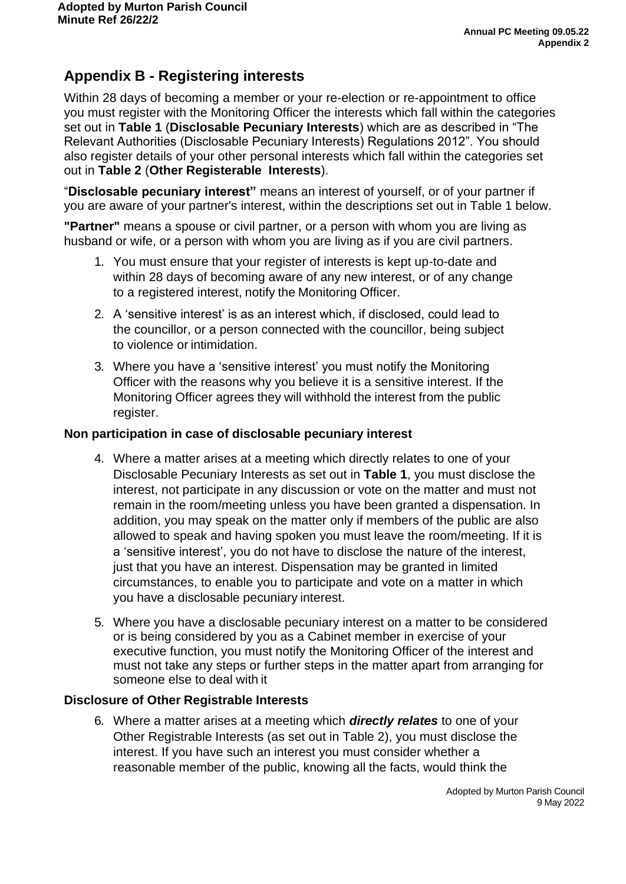# **Appendix B - Registering interests**

Within 28 days of becoming a member or your re-election or re-appointment to office you must register with the Monitoring Officer the interests which fall within the categories set out in **Table 1** (**Disclosable Pecuniary Interests**) which are as described in "The Relevant Authorities (Disclosable Pecuniary Interests) Regulations 2012". You should also register details of your other personal interests which fall within the categories set out in **Table 2** (**Other Registerable Interests**).

"**Disclosable pecuniary interest"** means an interest of yourself, or of your partner if you are aware of your partner's interest, within the descriptions set out in Table 1 below.

**"Partner"** means a spouse or civil partner, or a person with whom you are living as husband or wife, or a person with whom you are living as if you are civil partners.

- 1. You must ensure that your register of interests is kept up-to-date and within 28 days of becoming aware of any new interest, or of any change to a registered interest, notify the Monitoring Officer.
- 2. A 'sensitive interest' is as an interest which, if disclosed, could lead to the councillor, or a person connected with the councillor, being subject to violence or intimidation.
- 3. Where you have a 'sensitive interest' you must notify the Monitoring Officer with the reasons why you believe it is a sensitive interest. If the Monitoring Officer agrees they will withhold the interest from the public register.

#### **Non participation in case of disclosable pecuniary interest**

- 4. Where a matter arises at a meeting which directly relates to one of your Disclosable Pecuniary Interests as set out in **Table 1**, you must disclose the interest, not participate in any discussion or vote on the matter and must not remain in the room/meeting unless you have been granted a dispensation. In addition, you may speak on the matter only if members of the public are also allowed to speak and having spoken you must leave the room/meeting. If it is a 'sensitive interest', you do not have to disclose the nature of the interest, just that you have an interest. Dispensation may be granted in limited circumstances, to enable you to participate and vote on a matter in which you have a disclosable pecuniary interest.
- 5. Where you have a disclosable pecuniary interest on a matter to be considered or is being considered by you as a Cabinet member in exercise of your executive function, you must notify the Monitoring Officer of the interest and must not take any steps or further steps in the matter apart from arranging for someone else to deal with it

#### **Disclosure of Other Registrable Interests**

6. Where a matter arises at a meeting which *directly relates* to one of your Other Registrable Interests (as set out in Table 2), you must disclose the interest. If you have such an interest you must consider whether a reasonable member of the public, knowing all the facts, would think the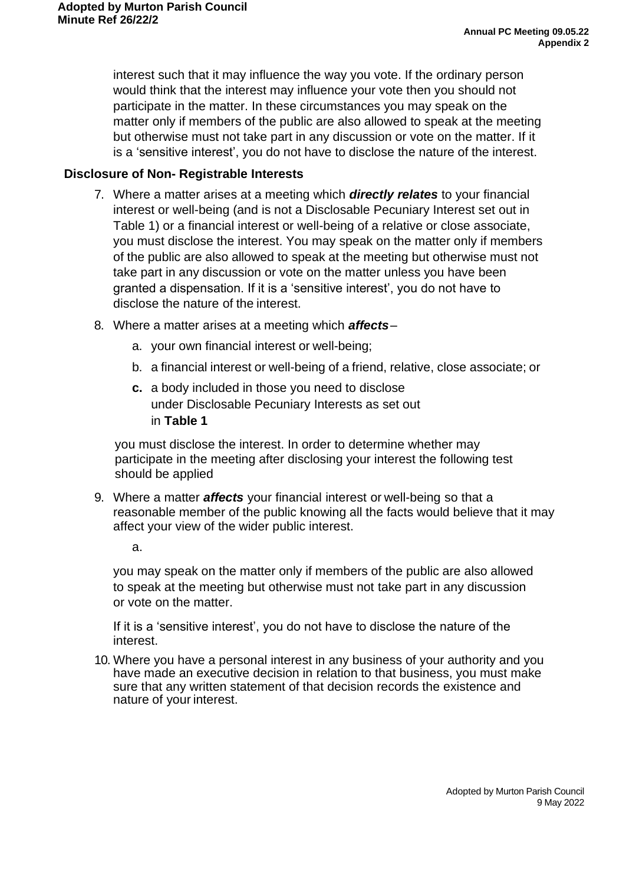interest such that it may influence the way you vote. If the ordinary person would think that the interest may influence your vote then you should not participate in the matter. In these circumstances you may speak on the matter only if members of the public are also allowed to speak at the meeting but otherwise must not take part in any discussion or vote on the matter. If it is a 'sensitive interest', you do not have to disclose the nature of the interest.

#### **Disclosure of Non- Registrable Interests**

- 7. Where a matter arises at a meeting which *directly relates* to your financial interest or well-being (and is not a Disclosable Pecuniary Interest set out in Table 1) or a financial interest or well-being of a relative or close associate, you must disclose the interest. You may speak on the matter only if members of the public are also allowed to speak at the meeting but otherwise must not take part in any discussion or vote on the matter unless you have been granted a dispensation. If it is a 'sensitive interest', you do not have to disclose the nature of the interest.
- 8. Where a matter arises at a meeting which *affects*
	- a. your own financial interest or well-being;
	- b. a financial interest or well-being of a friend, relative, close associate; or
	- **c.** a body included in those you need to disclose under Disclosable Pecuniary Interests as set out in **Table 1**

you must disclose the interest. In order to determine whether may participate in the meeting after disclosing your interest the following test should be applied

9. Where a matter *affects* your financial interest or well-being so that a reasonable member of the public knowing all the facts would believe that it may affect your view of the wider public interest.

a.

you may speak on the matter only if members of the public are also allowed to speak at the meeting but otherwise must not take part in any discussion or vote on the matter.

If it is a 'sensitive interest', you do not have to disclose the nature of the interest.

10. Where you have a personal interest in any business of your authority and you have made an executive decision in relation to that business, you must make sure that any written statement of that decision records the existence and nature of your interest.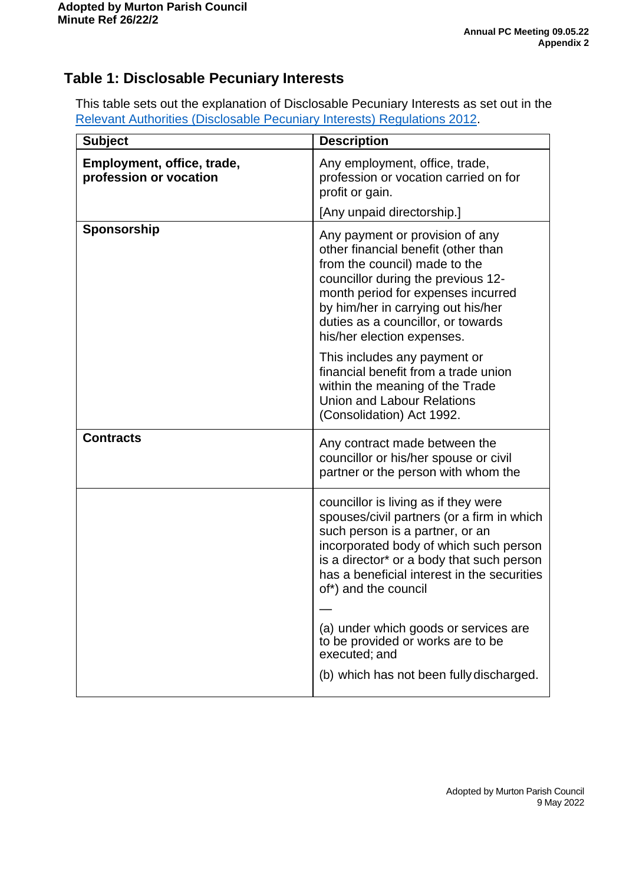# **Table 1: Disclosable Pecuniary Interests**

This table sets out the explanation of Disclosable Pecuniary Interests as set out in the Relevant [Authorities \(Disclosable](https://www.legislation.gov.uk/uksi/2012/1464/made) Pecuniary Interests) Regulations 2012.

| <b>Subject</b>                                       | <b>Description</b>                                                                                                                                                                                                                                                                                                                                                                 |
|------------------------------------------------------|------------------------------------------------------------------------------------------------------------------------------------------------------------------------------------------------------------------------------------------------------------------------------------------------------------------------------------------------------------------------------------|
| Employment, office, trade,<br>profession or vocation | Any employment, office, trade,<br>profession or vocation carried on for<br>profit or gain.                                                                                                                                                                                                                                                                                         |
|                                                      | [Any unpaid directorship.]                                                                                                                                                                                                                                                                                                                                                         |
| Sponsorship                                          | Any payment or provision of any<br>other financial benefit (other than<br>from the council) made to the<br>councillor during the previous 12-<br>month period for expenses incurred<br>by him/her in carrying out his/her<br>duties as a councillor, or towards<br>his/her election expenses.                                                                                      |
|                                                      | This includes any payment or<br>financial benefit from a trade union<br>within the meaning of the Trade<br><b>Union and Labour Relations</b><br>(Consolidation) Act 1992.                                                                                                                                                                                                          |
| <b>Contracts</b>                                     | Any contract made between the<br>councillor or his/her spouse or civil<br>partner or the person with whom the                                                                                                                                                                                                                                                                      |
|                                                      | councillor is living as if they were<br>spouses/civil partners (or a firm in which<br>such person is a partner, or an<br>incorporated body of which such person<br>is a director* or a body that such person<br>has a beneficial interest in the securities<br>of*) and the council<br>(a) under which goods or services are<br>to be provided or works are to be<br>executed; and |
|                                                      | (b) which has not been fully discharged.                                                                                                                                                                                                                                                                                                                                           |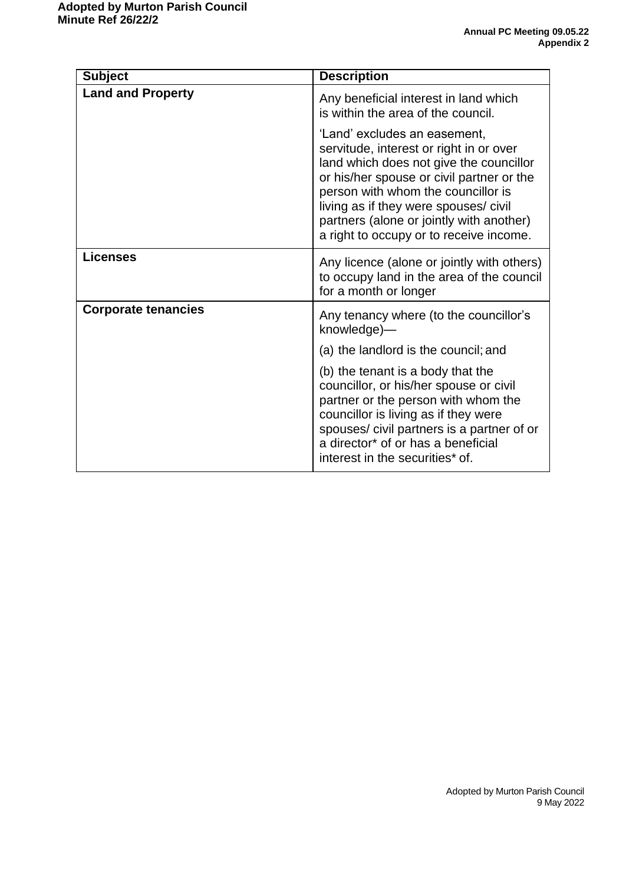| <b>Subject</b>             | <b>Description</b>                                                                                                                                                                                                                                                                                                                    |
|----------------------------|---------------------------------------------------------------------------------------------------------------------------------------------------------------------------------------------------------------------------------------------------------------------------------------------------------------------------------------|
| <b>Land and Property</b>   | Any beneficial interest in land which<br>is within the area of the council.                                                                                                                                                                                                                                                           |
|                            | 'Land' excludes an easement,<br>servitude, interest or right in or over<br>land which does not give the councillor<br>or his/her spouse or civil partner or the<br>person with whom the councillor is<br>living as if they were spouses/ civil<br>partners (alone or jointly with another)<br>a right to occupy or to receive income. |
| <b>Licenses</b>            | Any licence (alone or jointly with others)<br>to occupy land in the area of the council<br>for a month or longer                                                                                                                                                                                                                      |
| <b>Corporate tenancies</b> | Any tenancy where (to the councillor's<br>knowledge)-                                                                                                                                                                                                                                                                                 |
|                            | (a) the landlord is the council; and                                                                                                                                                                                                                                                                                                  |
|                            | (b) the tenant is a body that the<br>councillor, or his/her spouse or civil<br>partner or the person with whom the<br>councillor is living as if they were<br>spouses/ civil partners is a partner of or<br>a director <sup>*</sup> of or has a beneficial<br>interest in the securities* of.                                         |